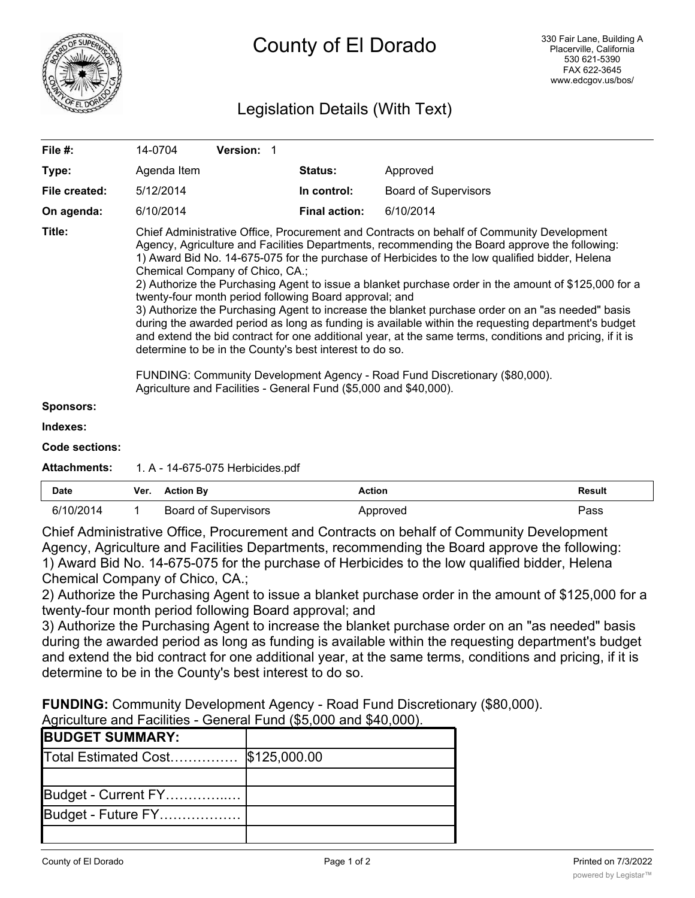

# Legislation Details (With Text)

| File #:             | Version: 1<br>14-0704                                                                                                                                                                                                                                                                                                                                                                                                                                                                                                                                                                                                                                                                                                                                                                                                                                                                                                                                                                                                                   |                      |                             |
|---------------------|-----------------------------------------------------------------------------------------------------------------------------------------------------------------------------------------------------------------------------------------------------------------------------------------------------------------------------------------------------------------------------------------------------------------------------------------------------------------------------------------------------------------------------------------------------------------------------------------------------------------------------------------------------------------------------------------------------------------------------------------------------------------------------------------------------------------------------------------------------------------------------------------------------------------------------------------------------------------------------------------------------------------------------------------|----------------------|-----------------------------|
| Type:               | Agenda Item                                                                                                                                                                                                                                                                                                                                                                                                                                                                                                                                                                                                                                                                                                                                                                                                                                                                                                                                                                                                                             | Status:              | Approved                    |
| File created:       | 5/12/2014                                                                                                                                                                                                                                                                                                                                                                                                                                                                                                                                                                                                                                                                                                                                                                                                                                                                                                                                                                                                                               | In control:          | <b>Board of Supervisors</b> |
| On agenda:          | 6/10/2014                                                                                                                                                                                                                                                                                                                                                                                                                                                                                                                                                                                                                                                                                                                                                                                                                                                                                                                                                                                                                               | <b>Final action:</b> | 6/10/2014                   |
| Title:              | Chief Administrative Office, Procurement and Contracts on behalf of Community Development<br>Agency, Agriculture and Facilities Departments, recommending the Board approve the following:<br>1) Award Bid No. 14-675-075 for the purchase of Herbicides to the low qualified bidder, Helena<br>Chemical Company of Chico, CA.;<br>2) Authorize the Purchasing Agent to issue a blanket purchase order in the amount of \$125,000 for a<br>twenty-four month period following Board approval; and<br>3) Authorize the Purchasing Agent to increase the blanket purchase order on an "as needed" basis<br>during the awarded period as long as funding is available within the requesting department's budget<br>and extend the bid contract for one additional year, at the same terms, conditions and pricing, if it is<br>determine to be in the County's best interest to do so.<br>FUNDING: Community Development Agency - Road Fund Discretionary (\$80,000).<br>Agriculture and Facilities - General Fund (\$5,000 and \$40,000). |                      |                             |
| <b>Sponsors:</b>    |                                                                                                                                                                                                                                                                                                                                                                                                                                                                                                                                                                                                                                                                                                                                                                                                                                                                                                                                                                                                                                         |                      |                             |
| Indexes:            |                                                                                                                                                                                                                                                                                                                                                                                                                                                                                                                                                                                                                                                                                                                                                                                                                                                                                                                                                                                                                                         |                      |                             |
| Code sections:      |                                                                                                                                                                                                                                                                                                                                                                                                                                                                                                                                                                                                                                                                                                                                                                                                                                                                                                                                                                                                                                         |                      |                             |
| <b>Attachments:</b> | 1. A - 14-675-075 Herbicides.pdf                                                                                                                                                                                                                                                                                                                                                                                                                                                                                                                                                                                                                                                                                                                                                                                                                                                                                                                                                                                                        |                      |                             |

| <b>Date</b> | Ver. | <b>Action By</b>            | Action   | <b>Result</b> |
|-------------|------|-----------------------------|----------|---------------|
| 6/10/2014   |      | <b>Board of Supervisors</b> | Approved | Pass          |

Chief Administrative Office, Procurement and Contracts on behalf of Community Development Agency, Agriculture and Facilities Departments, recommending the Board approve the following: 1) Award Bid No. 14-675-075 for the purchase of Herbicides to the low qualified bidder, Helena Chemical Company of Chico, CA.;

2) Authorize the Purchasing Agent to issue a blanket purchase order in the amount of \$125,000 for a twenty-four month period following Board approval; and

3) Authorize the Purchasing Agent to increase the blanket purchase order on an "as needed" basis during the awarded period as long as funding is available within the requesting department's budget and extend the bid contract for one additional year, at the same terms, conditions and pricing, if it is determine to be in the County's best interest to do so.

**FUNDING:** Community Development Agency - Road Fund Discretionary (\$80,000). Agriculture and Facilities - General Fund (\$5,000 and \$40,000).

| $\sim$ . The content of content of contents of the content of $\sim$ . The content of $\sim$ , where $\sim$ is a content of $\sim$ |  |  |  |  |
|------------------------------------------------------------------------------------------------------------------------------------|--|--|--|--|
| <b>BUDGET SUMMARY:</b>                                                                                                             |  |  |  |  |
| Total Estimated Cost \$125,000.00                                                                                                  |  |  |  |  |
|                                                                                                                                    |  |  |  |  |
| Budget - Current FY                                                                                                                |  |  |  |  |
| Budget - Future FY                                                                                                                 |  |  |  |  |
|                                                                                                                                    |  |  |  |  |